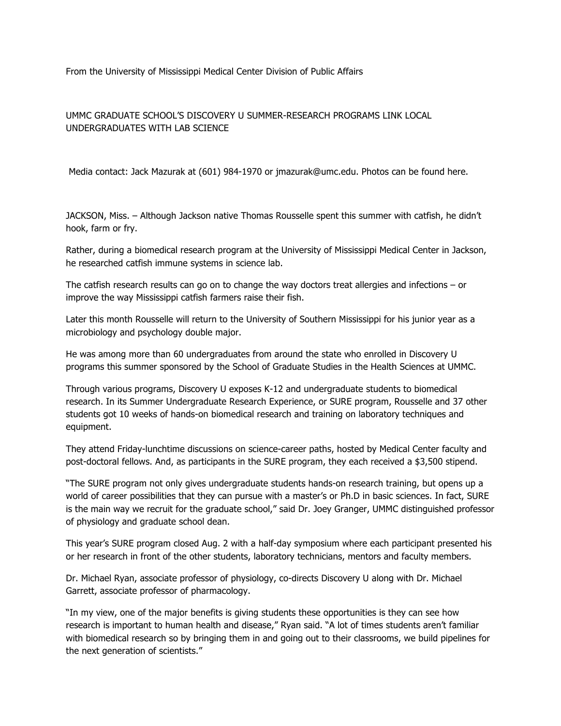From the University of Mississippi Medical Center Division of Public Affairs

## UMMC GRADUATE SCHOOL'S DISCOVERY U SUMMER-RESEARCH PROGRAMS LINK LOCAL UNDERGRADUATES WITH LAB SCIENCE

Media contact: Jack Mazurak at (601) 984-1970 or jmazurak@umc.edu. Photos can be found here.

JACKSON, Miss. – Although Jackson native Thomas Rousselle spent this summer with catfish, he didn't hook, farm or fry.

Rather, during a biomedical research program at the University of Mississippi Medical Center in Jackson, he researched catfish immune systems in science lab.

The catfish research results can go on to change the way doctors treat allergies and infections – or improve the way Mississippi catfish farmers raise their fish.

Later this month Rousselle will return to the University of Southern Mississippi for his junior year as a microbiology and psychology double major.

He was among more than 60 undergraduates from around the state who enrolled in Discovery U programs this summer sponsored by the School of Graduate Studies in the Health Sciences at UMMC.

Through various programs, Discovery U exposes K-12 and undergraduate students to biomedical research. In its Summer Undergraduate Research Experience, or SURE program, Rousselle and 37 other students got 10 weeks of hands-on biomedical research and training on laboratory techniques and equipment.

They attend Friday-lunchtime discussions on science-career paths, hosted by Medical Center faculty and post-doctoral fellows. And, as participants in the SURE program, they each received a \$3,500 stipend.

"The SURE program not only gives undergraduate students hands-on research training, but opens up a world of career possibilities that they can pursue with a master's or Ph.D in basic sciences. In fact, SURE is the main way we recruit for the graduate school," said Dr. Joey Granger, UMMC distinguished professor of physiology and graduate school dean.

This year's SURE program closed Aug. 2 with a half-day symposium where each participant presented his or her research in front of the other students, laboratory technicians, mentors and faculty members.

Dr. Michael Ryan, associate professor of physiology, co-directs Discovery U along with Dr. Michael Garrett, associate professor of pharmacology.

"In my view, one of the major benefits is giving students these opportunities is they can see how research is important to human health and disease," Ryan said. "A lot of times students aren't familiar with biomedical research so by bringing them in and going out to their classrooms, we build pipelines for the next generation of scientists."